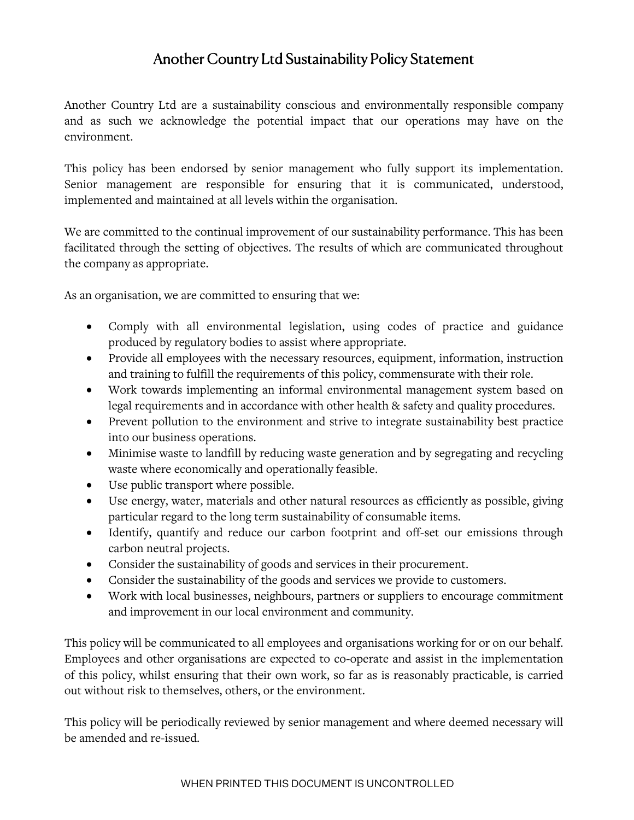## Another Country Ltd Sustainability Policy Statement

Another Country Ltd are a sustainability conscious and environmentally responsible company and as such we acknowledge the potential impact that our operations may have on the environment.

This policy has been endorsed by senior management who fully support its implementation. Senior management are responsible for ensuring that it is communicated, understood, implemented and maintained at all levels within the organisation.

We are committed to the continual improvement of our sustainability performance. This has been facilitated through the setting of objectives. The results of which are communicated throughout the company as appropriate.

As an organisation, we are committed to ensuring that we:

- Comply with all environmental legislation, using codes of practice and guidance produced by regulatory bodies to assist where appropriate.
- Provide all employees with the necessary resources, equipment, information, instruction and training to fulfill the requirements of this policy, commensurate with their role.
- Work towards implementing an informal environmental management system based on legal requirements and in accordance with other health & safety and quality procedures.
- Prevent pollution to the environment and strive to integrate sustainability best practice into our business operations.
- Minimise waste to landfill by reducing waste generation and by segregating and recycling waste where economically and operationally feasible.
- Use public transport where possible.
- Use energy, water, materials and other natural resources as efficiently as possible, giving particular regard to the long term sustainability of consumable items.
- Identify, quantify and reduce our carbon footprint and off-set our emissions through carbon neutral projects.
- Consider the sustainability of goods and services in their procurement.
- Consider the sustainability of the goods and services we provide to customers.
- Work with local businesses, neighbours, partners or suppliers to encourage commitment and improvement in our local environment and community.

This policy will be communicated to all employees and organisations working for or on our behalf. Employees and other organisations are expected to co-operate and assist in the implementation of this policy, whilst ensuring that their own work, so far as is reasonably practicable, is carried out without risk to themselves, others, or the environment.

This policy will be periodically reviewed by senior management and where deemed necessary will be amended and re-issued.